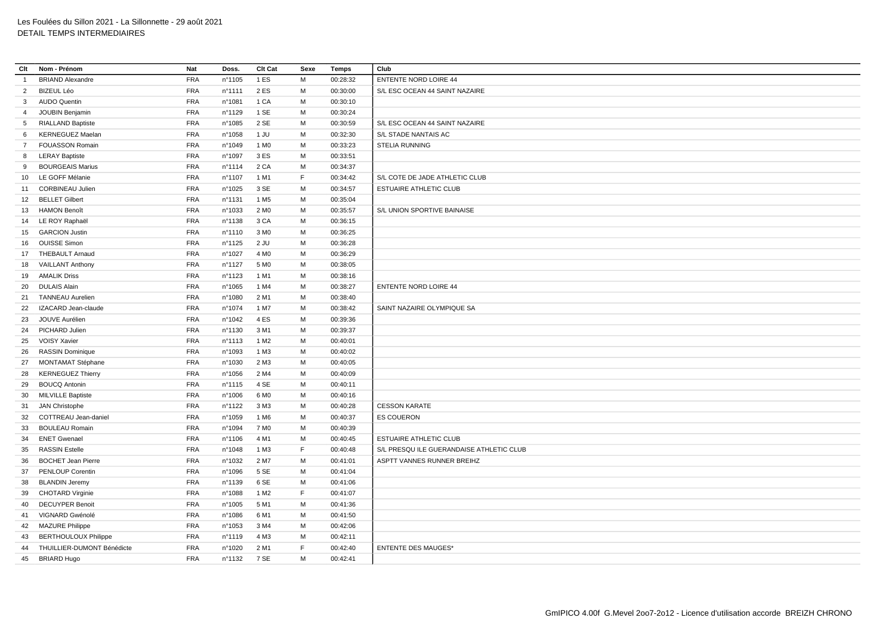| Clt             | Nom - Prénom                | <b>Nat</b> | Doss.  | Clt Cat          | Sexe    | <b>Temps</b> | Club                                     |
|-----------------|-----------------------------|------------|--------|------------------|---------|--------------|------------------------------------------|
| $\overline{1}$  | <b>BRIAND Alexandre</b>     | <b>FRA</b> | n°1105 | 1 ES             | M       | 00:28:32     | <b>ENTENTE NORD LOIRE 44</b>             |
| $\overline{2}$  | <b>BIZEUL Léo</b>           | <b>FRA</b> | n°1111 | 2 ES             | M       | 00:30:00     | S/L ESC OCEAN 44 SAINT NAZAIRE           |
| $\mathbf{3}$    | <b>AUDO Quentin</b>         | <b>FRA</b> | n°1081 | 1 CA             | M       | 00:30:10     |                                          |
| 4               | JOUBIN Benjamin             | <b>FRA</b> | n°1129 | 1 SE             | M       | 00:30:24     |                                          |
| 5               | <b>RIALLAND Baptiste</b>    | <b>FRA</b> | n°1085 | 2 SE             | м       | 00:30:59     | S/L ESC OCEAN 44 SAINT NAZAIRE           |
| 6               | <b>KERNEGUEZ Maelan</b>     | <b>FRA</b> | n°1058 | 1 JU             | M       | 00:32:30     | S/L STADE NANTAIS AC                     |
| $\overline{7}$  | <b>FOUASSON Romain</b>      | <b>FRA</b> | n°1049 | 1 M <sub>0</sub> | M       | 00:33:23     | <b>STELIA RUNNING</b>                    |
| 8               | <b>LERAY Baptiste</b>       | <b>FRA</b> | n°1097 | 3 ES             | M       | 00:33:51     |                                          |
| 9               | <b>BOURGEAIS Marius</b>     | <b>FRA</b> | n°1114 | 2 CA             | M       | 00:34:37     |                                          |
| 10 <sup>1</sup> | LE GOFF Mélanie             | <b>FRA</b> | nº1107 | 1 M1             | F       | 00:34:42     | S/L COTE DE JADE ATHLETIC CLUB           |
| 11              | <b>CORBINEAU Julien</b>     | <b>FRA</b> | n°1025 | 3 SE             | M       | 00:34:57     | ESTUAIRE ATHLETIC CLUB                   |
|                 | 12 BELLET Gilbert           | <b>FRA</b> | n°1131 | 1 M <sub>5</sub> | M       | 00:35:04     |                                          |
|                 | 13 HAMON Benoît             | <b>FRA</b> | n°1033 | 2 M <sub>0</sub> | M       | 00:35:57     | S/L UNION SPORTIVE BAINAISE              |
|                 | 14 LE ROY Raphaël           | <b>FRA</b> | n°1138 | 3 CA             | M       | 00:36:15     |                                          |
|                 | 15 GARCION Justin           | <b>FRA</b> | n°1110 | 3 M <sub>0</sub> | M       | 00:36:25     |                                          |
| 16              | <b>OUISSE Simon</b>         | <b>FRA</b> | n°1125 | $2$ JU           | M       | 00:36:28     |                                          |
|                 | 17 THEBAULT Arnaud          | <b>FRA</b> | n°1027 | 4 M <sub>0</sub> | M       | 00:36:29     |                                          |
| 18              | <b>VAILLANT Anthony</b>     | <b>FRA</b> | n°1127 | 5 M <sub>0</sub> | м       | 00:38:05     |                                          |
| 19              | <b>AMALIK Driss</b>         | <b>FRA</b> | n°1123 | 1 M1             | M       | 00:38:16     |                                          |
| 20              | <b>DULAIS Alain</b>         | <b>FRA</b> | n°1065 | 1 M4             | M       | 00:38:27     | <b>ENTENTE NORD LOIRE 44</b>             |
| 21              | <b>TANNEAU Aurelien</b>     | <b>FRA</b> | n°1080 | 2 M1             | M       | 00:38:40     |                                          |
| 22              | IZACARD Jean-claude         | <b>FRA</b> | n°1074 | 1 M7             | M       | 00:38:42     | SAINT NAZAIRE OLYMPIQUE SA               |
| 23              | JOUVE Aurélien              | <b>FRA</b> | n°1042 | 4 ES             | M       | 00:39:36     |                                          |
| 24              | PICHARD Julien              | <b>FRA</b> | nº1130 | 3 M1             | M       | 00:39:37     |                                          |
| 25              | VOISY Xavier                | <b>FRA</b> | n°1113 | 1 M <sub>2</sub> | M       | 00:40:01     |                                          |
| 26              | <b>RASSIN Dominique</b>     | <b>FRA</b> | n°1093 | 1 M3             | M       | 00:40:02     |                                          |
| 27              | <b>MONTAMAT Stéphane</b>    | <b>FRA</b> | n°1030 | 2 M3             | М       | 00:40:05     |                                          |
| 28              | <b>KERNEGUEZ Thierry</b>    | <b>FRA</b> | n°1056 | 2 M4             | M       | 00:40:09     |                                          |
|                 | <b>BOUCQ Antonin</b>        | <b>FRA</b> | n°1115 | 4 SE             | M       | 00:40:11     |                                          |
| 29<br>30        | <b>MILVILLE Baptiste</b>    | <b>FRA</b> | n°1006 | 6 M <sub>0</sub> | M       | 00:40:16     |                                          |
| 31              | JAN Christophe              | <b>FRA</b> | n°1122 | 3 M3             | M       | 00:40:28     | <b>CESSON KARATE</b>                     |
|                 | COTTREAU Jean-daniel        | <b>FRA</b> | n°1059 | 1 M <sub>6</sub> | M       | 00:40:37     | <b>ES COUERON</b>                        |
| 32<br>33        | <b>BOULEAU Romain</b>       | <b>FRA</b> | n°1094 | 7 M <sub>0</sub> | M       | 00:40:39     |                                          |
| 34              | <b>ENET Gwenael</b>         | <b>FRA</b> | n°1106 | 4 M1             | M       | 00:40:45     | ESTUAIRE ATHLETIC CLUB                   |
|                 | <b>RASSIN Estelle</b>       | <b>FRA</b> | n°1048 | 1 M3             | F.      | 00:40:48     | S/L PRESQU ILE GUERANDAISE ATHLETIC CLUB |
| 35              | <b>BOCHET Jean Pierre</b>   | <b>FRA</b> | n°1032 | 2 M7             | M       | 00:41:01     | ASPTT VANNES RUNNER BREIHZ               |
| 36<br>37        | PENLOUP Corentin            | <b>FRA</b> |        | 5 SE             | M       | 00:41:04     |                                          |
|                 |                             |            | n°1096 |                  |         |              |                                          |
| 38              | <b>BLANDIN Jeremy</b>       | <b>FRA</b> | n°1139 | 6 SE             | M<br>F. | 00:41:06     |                                          |
| 39              | <b>CHOTARD Virginie</b>     | <b>FRA</b> | n°1088 | 1 M <sub>2</sub> |         | 00:41:07     |                                          |
| 40              | <b>DECUYPER Benoit</b>      | <b>FRA</b> | n°1005 | 5 M1             | М       | 00:41:36     |                                          |
| 41              | VIGNARD Gwénolé             | <b>FRA</b> | n°1086 | 6 M1             | M       | 00:41:50     |                                          |
|                 | 42 MAZURE Philippe          | <b>FRA</b> | n°1053 | 3 M4             | M       | 00:42:06     |                                          |
| 43              | <b>BERTHOULOUX Philippe</b> | <b>FRA</b> | n°1119 | 4 M3             | M<br>F. | 00:42:11     | <b>ENTENTE DES MAUGES*</b>               |
| 44              | THUILLIER-DUMONT Bénédicte  | <b>FRA</b> | n°1020 | 2 M1             |         | 00:42:40     |                                          |
| 45              | <b>BRIARD Hugo</b>          | <b>FRA</b> | nº1132 | 7 SE             | M       | 00:42:41     |                                          |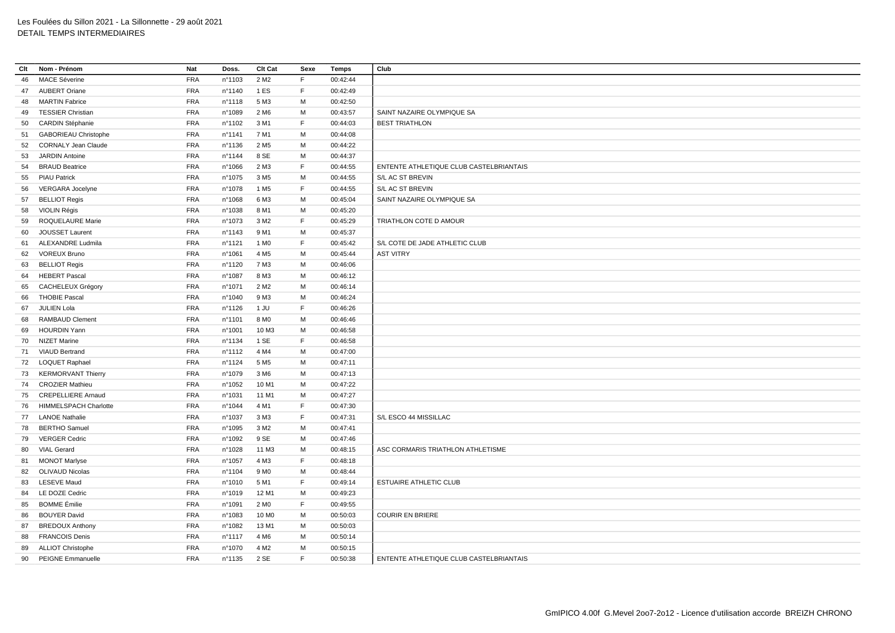| Clt | Nom - Prénom                 | Nat        | Doss.            | Clt Cat           | Sexe | Temps    | Club                                    |
|-----|------------------------------|------------|------------------|-------------------|------|----------|-----------------------------------------|
| 46  | <b>MACE Séverine</b>         | <b>FRA</b> | n°1103           | 2 M <sub>2</sub>  | F.   | 00:42:44 |                                         |
| 47  | <b>AUBERT Oriane</b>         | <b>FRA</b> | n°1140           | 1 ES              | F.   | 00:42:49 |                                         |
| 48  | <b>MARTIN Fabrice</b>        | <b>FRA</b> | n°1118           | 5 M3              | М    | 00:42:50 |                                         |
| 49  | <b>TESSIER Christian</b>     | <b>FRA</b> | n°1089           | 2 M <sub>6</sub>  | M    | 00:43:57 | SAINT NAZAIRE OLYMPIQUE SA              |
| 50  | CARDIN Stéphanie             | <b>FRA</b> | n°1102           | 3 M1              | F.   | 00:44:03 | <b>BEST TRIATHLON</b>                   |
| 51  | <b>GABORIEAU Christophe</b>  | <b>FRA</b> | n°1141           | 7 M1              | M    | 00:44:08 |                                         |
| 52  | <b>CORNALY Jean Claude</b>   | <b>FRA</b> | nº1136           | 2 M <sub>5</sub>  | М    | 00:44:22 |                                         |
| 53  | <b>JARDIN Antoine</b>        | <b>FRA</b> | n°1144           | 8 SE              | M    | 00:44:37 |                                         |
| 54  | <b>BRAUD Beatrice</b>        | <b>FRA</b> | n°1066           | 2 M3              | F.   | 00:44:55 | ENTENTE ATHLETIQUE CLUB CASTELBRIANTAIS |
| 55  | <b>PIAU Patrick</b>          | <b>FRA</b> | n°1075           | 3 M <sub>5</sub>  | M    | 00:44:55 | S/L AC ST BREVIN                        |
| 56  | VERGARA Jocelyne             | <b>FRA</b> | n°1078           | 1 M <sub>5</sub>  | F    | 00:44:55 | S/L AC ST BREVIN                        |
| 57  | <b>BELLIOT Regis</b>         | <b>FRA</b> | n°1068           | 6 M3              | M    | 00:45:04 | SAINT NAZAIRE OLYMPIQUE SA              |
| 58  | VIOLIN Régis                 | <b>FRA</b> | n°1038           | 8 M1              | M    | 00:45:20 |                                         |
| 59  | ROQUELAURE Marie             | <b>FRA</b> | n°1073           | 3 M <sub>2</sub>  | F.   | 00:45:29 | TRIATHLON COTE D AMOUR                  |
| 60  | JOUSSET Laurent              | <b>FRA</b> | n°1143           | 9 M1              | М    | 00:45:37 |                                         |
| 61  | <b>ALEXANDRE Ludmila</b>     | <b>FRA</b> | nº1121           | 1 M <sub>0</sub>  | F    | 00:45:42 | S/L COTE DE JADE ATHLETIC CLUB          |
| 62  | <b>VOREUX Bruno</b>          | <b>FRA</b> | n°1061           | 4 M <sub>5</sub>  | M    | 00:45:44 | <b>AST VITRY</b>                        |
| 63  | <b>BELLIOT Regis</b>         | <b>FRA</b> | nº1120           | 7 M3              | М    | 00:46:06 |                                         |
| 64  | <b>HEBERT Pascal</b>         | <b>FRA</b> | n°1087           | 8 M3              | М    | 00:46:12 |                                         |
| 65  | CACHELEUX Grégory            | <b>FRA</b> | n°1071           | 2 M <sub>2</sub>  | М    | 00:46:14 |                                         |
| 66  | <b>THOBIE Pascal</b>         | <b>FRA</b> | n°1040           | 9 M3              | M    | 00:46:24 |                                         |
| 67  | JULIEN Lola                  | <b>FRA</b> | $n^{\circ}$ 1126 | 1 JU              | F.   | 00:46:26 |                                         |
| 68  | <b>RAMBAUD Clement</b>       | <b>FRA</b> | nº1101           | 8 M <sub>0</sub>  | M    | 00:46:46 |                                         |
| 69  | <b>HOURDIN Yann</b>          | <b>FRA</b> | n°1001           | 10 M3             | М    | 00:46:58 |                                         |
|     | 70 NIZET Marine              | <b>FRA</b> | nº1134           | 1 SE              | E    | 00:46:58 |                                         |
|     | 71 VIAUD Bertrand            | <b>FRA</b> | n°1112           | 4 M4              | М    | 00:47:00 |                                         |
|     | 72 LOQUET Raphael            | <b>FRA</b> | $n^{\circ}$ 1124 | 5 M <sub>5</sub>  | M    | 00:47:11 |                                         |
| 73  | <b>KERMORVANT Thierry</b>    | <b>FRA</b> | n°1079           | 3 M <sub>6</sub>  | м    | 00:47:13 |                                         |
| 74  | <b>CROZIER Mathieu</b>       | <b>FRA</b> | n°1052           | 10 M1             | М    | 00:47:22 |                                         |
|     | 75 CREPELLIERE Arnaud        | <b>FRA</b> | n°1031           | 11 M1             | M    | 00:47:27 |                                         |
| 76  | <b>HIMMELSPACH Charlotte</b> | <b>FRA</b> | n°1044           | 4 M1              | F.   | 00:47:30 |                                         |
|     | 77 LANOE Nathalie            | <b>FRA</b> | n°1037           | 3 M3              | F    | 00:47:31 | S/L ESCO 44 MISSILLAC                   |
| 78  | <b>BERTHO Samuel</b>         | <b>FRA</b> | n°1095           | 3 M <sub>2</sub>  | м    | 00:47:41 |                                         |
| 79  | <b>VERGER Cedric</b>         | <b>FRA</b> | n°1092           | 9 SE              | M    | 00:47:46 |                                         |
| 80  | <b>VIAL Gerard</b>           | <b>FRA</b> | nº1028           | 11 M3             | M    | 00:48:15 | ASC CORMARIS TRIATHLON ATHLETISME       |
| 81  | <b>MONOT Marlyse</b>         | <b>FRA</b> | n°1057           | 4 M3              | F.   | 00:48:18 |                                         |
| 82  | OLIVAUD Nicolas              | <b>FRA</b> | nº1104           | 9 M <sub>0</sub>  | М    | 00:48:44 |                                         |
| 83  | <b>LESEVE Maud</b>           | <b>FRA</b> | n°1010           | 5 M1              | E    | 00:49:14 | <b>ESTUAIRE ATHLETIC CLUB</b>           |
| 84  | LE DOZE Cedric               | <b>FRA</b> | n°1019           | 12 M1             | М    | 00:49:23 |                                         |
| 85  | <b>BOMME</b> Émilie          | <b>FRA</b> | n°1091           | 2 M <sub>0</sub>  | F.   | 00:49:55 |                                         |
| 86  | <b>BOUYER David</b>          | <b>FRA</b> | n°1083           | 10 M <sub>0</sub> | М    | 00:50:03 | <b>COURIR EN BRIERE</b>                 |
| 87  | <b>BREDOUX Anthony</b>       | <b>FRA</b> | n°1082           | 13 M1             | M    | 00:50:03 |                                         |
| 88  | <b>FRANCOIS Denis</b>        | <b>FRA</b> | nº1117           | 4 M <sub>6</sub>  | M    | 00:50:14 |                                         |
| 89  | <b>ALLIOT Christophe</b>     | <b>FRA</b> | n°1070           | 4 M <sub>2</sub>  | M    | 00:50:15 |                                         |
|     | 90 PEIGNE Emmanuelle         | <b>FRA</b> | n°1135           | 2 SE              | E    | 00:50:38 | ENTENTE ATHLETIQUE CLUB CASTELBRIANTAIS |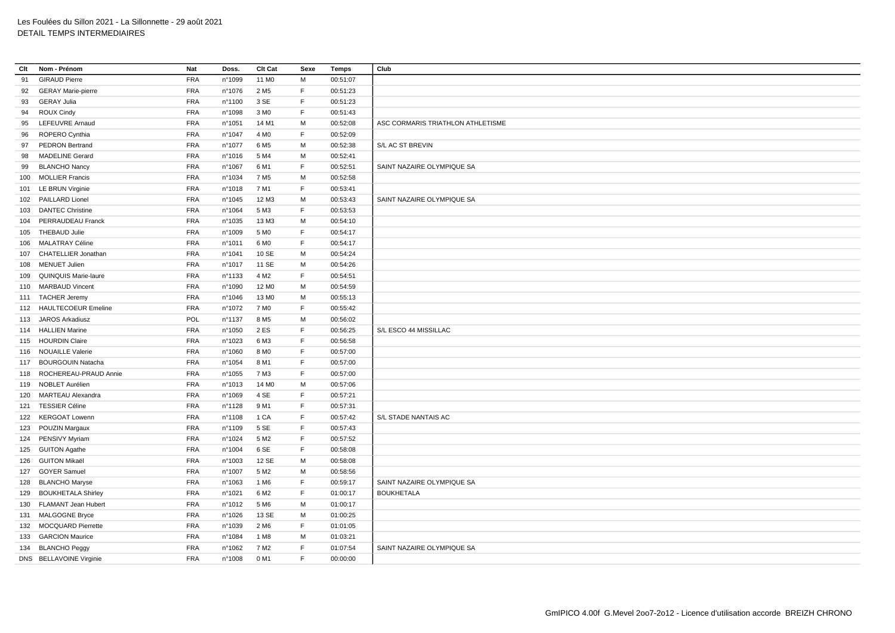## Les Foulées du Sillon 2021 - La Sillonnette - 29 août 2021 DETAIL TEMPS INTERMEDIAIRES

| Clt | Nom - Prénom                                     | Nat                      | Doss.           | Clt Cat                  | Sexe        | <b>Temps</b>         | Club                              |
|-----|--------------------------------------------------|--------------------------|-----------------|--------------------------|-------------|----------------------|-----------------------------------|
| 91  | <b>GIRAUD Pierre</b>                             | <b>FRA</b>               | n°1099          | 11 M <sub>0</sub>        | M           | 00:51:07             |                                   |
| 92  | <b>GERAY Marie-pierre</b>                        | <b>FRA</b>               | n°1076          | 2 M <sub>5</sub>         | F.          | 00:51:23             |                                   |
| 93  | <b>GERAY Julia</b>                               | <b>FRA</b>               | n°1100          | 3 SE                     | F.          | 00:51:23             |                                   |
| 94  | ROUX Cindy                                       | <b>FRA</b>               | n°1098          | 3 M <sub>0</sub>         | F           | 00:51:43             |                                   |
| 95  | LEFEUVRE Arnaud                                  | <b>FRA</b>               | n°1051          | 14 M1                    | M           | 00:52:08             | ASC CORMARIS TRIATHLON ATHLETISME |
| 96  | ROPERO Cynthia                                   | FRA                      | n°1047          | 4 M <sub>0</sub>         | $\mathsf F$ | 00:52:09             |                                   |
| 97  | <b>PEDRON Bertrand</b>                           | <b>FRA</b>               | n°1077          | 6 M <sub>5</sub>         | M           | 00:52:38             | S/L AC ST BREVIN                  |
| 98  | <b>MADELINE Gerard</b>                           | FRA                      | n°1016          | 5 M4                     | M           | 00:52:41             |                                   |
| 99  | <b>BLANCHO Nancy</b>                             | <b>FRA</b>               | n°1067          | 6 M1                     | F           | 00:52:51             | SAINT NAZAIRE OLYMPIQUE SA        |
|     | 100 MOLLIER Francis                              | <b>FRA</b>               | nº1034          | 7 M <sub>5</sub>         | M           | 00:52:58             |                                   |
| 101 | <b>LE BRUN Virginie</b>                          | <b>FRA</b>               | n°1018          | 7 M1                     | F.          | 00:53:41             |                                   |
|     | 102 PAILLARD Lionel                              | <b>FRA</b>               | $n^{\circ}1045$ | 12 M3                    | M           | 00:53:43             | SAINT NAZAIRE OLYMPIQUE SA        |
| 103 | <b>DANTEC Christine</b>                          | <b>FRA</b>               | n°1064          | 5 M3                     | F.          | 00:53:53             |                                   |
|     | 104 PERRAUDEAU Franck                            | <b>FRA</b>               | n°1035          | 13 M3                    | М           | 00:54:10             |                                   |
|     | 105 THEBAUD Julie                                | <b>FRA</b>               | n°1009          | 5 M <sub>0</sub>         | F.          | 00:54:17             |                                   |
|     | 106 MALATRAY Céline                              | <b>FRA</b>               | n°1011          | 6 M <sub>0</sub>         | F           | 00:54:17             |                                   |
|     | 107 CHATELLIER Jonathan                          | <b>FRA</b>               | n°1041          | 10 SE                    | M           | 00:54:24             |                                   |
|     | 108 MENUET Julien                                | FRA                      | n°1017          | 11 SE                    | M           | 00:54:26             |                                   |
| 109 | QUINQUIS Marie-laure                             | <b>FRA</b>               | nº1133          | 4 M <sub>2</sub>         | F.          | 00:54:51             |                                   |
|     | 110 MARBAUD Vincent                              | <b>FRA</b>               | n°1090          | 12 M <sub>0</sub>        | M           | 00:54:59             |                                   |
|     | 111 TACHER Jeremy                                | <b>FRA</b>               | n°1046          | 13 MO                    | м           | 00:55:13             |                                   |
|     | 112 HAULTECOEUR Emeline                          | FRA                      | n°1072          | 7 M <sub>0</sub>         | F.          | 00:55:42             |                                   |
|     | 113 JAROS Arkadiusz                              | <b>POL</b>               | nº1137          | 8 M <sub>5</sub>         | M           | 00:56:02             |                                   |
|     | 114 HALLIEN Marine                               | <b>FRA</b>               | n°1050          | 2 ES                     | F           | 00:56:25             | S/L ESCO 44 MISSILLAC             |
|     | 115 HOURDIN Claire                               | <b>FRA</b>               | n°1023          | 6 M3                     | F           | 00:56:58             |                                   |
|     | 116 NOUAILLE Valerie                             | <b>FRA</b>               | n°1060          | 8 M <sub>0</sub>         | F           | 00:57:00             |                                   |
| 117 | <b>BOURGOUIN Natacha</b>                         | <b>FRA</b>               | n°1054          | 8 M1                     | $\mathsf F$ | 00:57:00             |                                   |
|     | 118 ROCHEREAU-PRAUD Annie                        | <b>FRA</b>               | n°1055          | 7 M3                     | F.          | 00:57:00             |                                   |
|     | 119 NOBLET Aurélien                              | <b>FRA</b>               | n°1013          | 14 M <sub>0</sub>        | M           | 00:57:06             |                                   |
| 120 | MARTEAU Alexandra                                | <b>FRA</b>               | n°1069          | 4 SE                     | F.          | 00:57:21             |                                   |
|     | 121 TESSIER Céline                               | <b>FRA</b>               | nº1128          | 9 M1                     | E           | 00:57:31             |                                   |
| 122 | <b>KERGOAT Lowenn</b>                            | <b>FRA</b>               | n°1108          | 1 CA                     | F.          | 00:57:42             | S/L STADE NANTAIS AC              |
|     | 123 POUZIN Margaux                               | <b>FRA</b>               | nº1109          | 5 SE                     | F           | 00:57:43             |                                   |
|     | 124 PENSIVY Myriam                               | <b>FRA</b>               | n°1024          | 5 M <sub>2</sub>         | F           | 00:57:52             |                                   |
|     | 125 GUITON Agathe                                | <b>FRA</b>               | n°1004          | 6 SE                     | F           | 00:58:08             |                                   |
|     | 126 GUITON Mikaël                                | <b>FRA</b>               | n°1003          | 12 SE                    | M           | 00:58:08             |                                   |
|     | 127 GOYER Samuel                                 | <b>FRA</b>               | n°1007          | 5 M <sub>2</sub>         | M           | 00:58:56             |                                   |
| 128 | <b>BLANCHO Maryse</b>                            | <b>FRA</b>               | n°1063          | 1 M <sub>6</sub>         | F.          | 00:59:17             | SAINT NAZAIRE OLYMPIQUE SA        |
|     |                                                  |                          |                 |                          | F.          |                      |                                   |
| 129 | <b>BOUKHETALA Shirley</b><br>FLAMANT Jean Hubert | <b>FRA</b><br><b>FRA</b> | n°1021          | 6 M2<br>5 M <sub>6</sub> | M           | 01:00:17<br>01:00:17 | <b>BOUKHETALA</b>                 |
| 130 |                                                  |                          | n°1012          |                          | M           |                      |                                   |
|     | 131 MALGOGNE Bryce                               | <b>FRA</b>               | n°1026          | 13 SE                    |             | 01:00:25             |                                   |
|     | 132 MOCQUARD Pierrette                           | <b>FRA</b>               | nº1039          | 2 M <sub>6</sub>         | F           | 01:01:05             |                                   |
| 133 | <b>GARCION Maurice</b>                           | <b>FRA</b>               | n°1084          | 1 M <sub>8</sub>         | M           | 01:03:21             |                                   |
|     | 134 BLANCHO Peggy                                | <b>FRA</b>               | n°1062          | 7 M <sub>2</sub>         | $\mathsf F$ | 01:07:54             | SAINT NAZAIRE OLYMPIQUE SA        |
|     | DNS BELLAVOINE Virginie                          | <b>FRA</b>               | n°1008          | 0 M1                     | F.          | 00:00:00             |                                   |